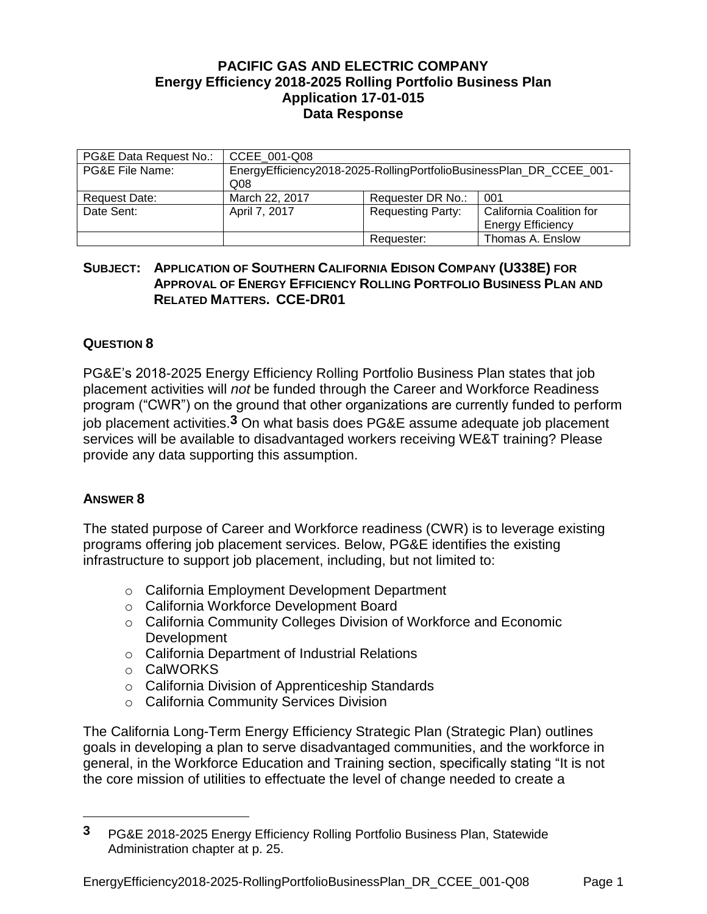## **PACIFIC GAS AND ELECTRIC COMPANY Energy Efficiency 2018-2025 Rolling Portfolio Business Plan Application 17-01-015 Data Response**

| PG&E Data Request No.: | CCEE 001-Q08                                                                           |                          |                                                      |
|------------------------|----------------------------------------------------------------------------------------|--------------------------|------------------------------------------------------|
| PG&E File Name:        | EnergyEfficiency2018-2025-RollingPortfolioBusinessPlan_DR_CCEE_001-<br>Q <sub>08</sub> |                          |                                                      |
| Request Date:          | March 22, 2017                                                                         | Requester DR No.:        | 001                                                  |
| Date Sent:             | April 7, 2017                                                                          | <b>Requesting Party:</b> | California Coalition for<br><b>Energy Efficiency</b> |
|                        |                                                                                        | Requester:               | Thomas A. Enslow                                     |

## **SUBJECT: APPLICATION OF SOUTHERN CALIFORNIA EDISON COMPANY (U338E) FOR APPROVAL OF ENERGY EFFICIENCY ROLLING PORTFOLIO BUSINESS PLAN AND RELATED MATTERS. CCE-DR01**

## **QUESTION 8**

PG&E's 2018-2025 Energy Efficiency Rolling Portfolio Business Plan states that job placement activities will *not* be funded through the Career and Workforce Readiness program ("CWR") on the ground that other organizations are currently funded to perform job placement activities.**3** On what basis does PG&E assume adequate job placement services will be available to disadvantaged workers receiving WE&T training? Please provide any data supporting this assumption.

## **ANSWER 8**

 $\overline{a}$ 

The stated purpose of Career and Workforce readiness (CWR) is to leverage existing programs offering job placement services. Below, PG&E identifies the existing infrastructure to support job placement, including, but not limited to:

- o California Employment Development Department
- o California Workforce Development Board
- o California Community Colleges Division of Workforce and Economic Development
- o California Department of Industrial Relations
- o CalWORKS
- o California Division of Apprenticeship Standards
- o California Community Services Division

The California Long-Term Energy Efficiency Strategic Plan (Strategic Plan) outlines goals in developing a plan to serve disadvantaged communities, and the workforce in general, in the Workforce Education and Training section, specifically stating "It is not the core mission of utilities to effectuate the level of change needed to create a

**<sup>3</sup>** PG&E 2018-2025 Energy Efficiency Rolling Portfolio Business Plan, Statewide Administration chapter at p. 25.